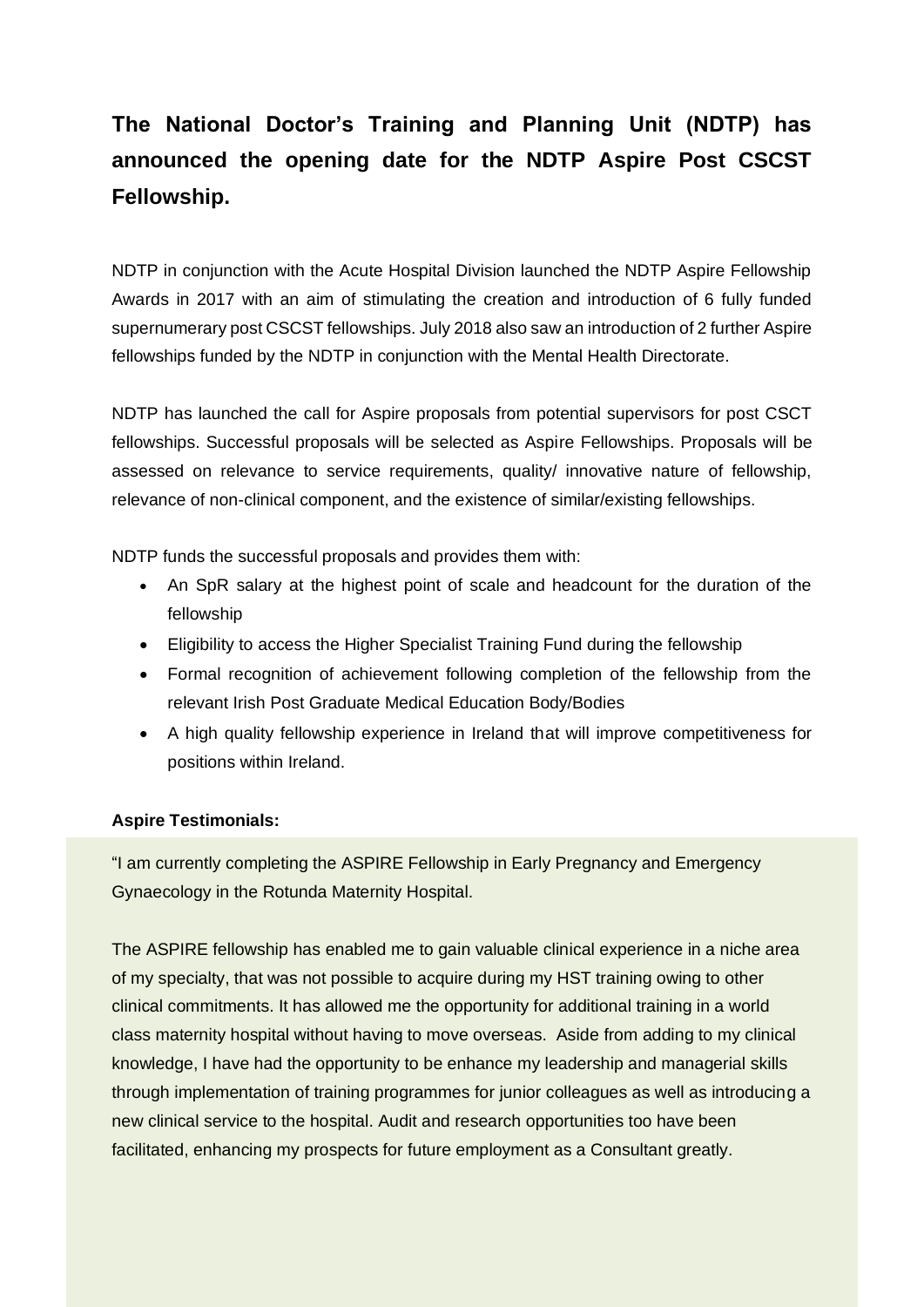## **The National Doctor's Training and Planning Unit (NDTP) has announced the opening date for the NDTP Aspire Post CSCST Fellowship.**

NDTP in conjunction with the Acute Hospital Division launched the NDTP Aspire Fellowship Awards in 2017 with an aim of stimulating the creation and introduction of 6 fully funded supernumerary post CSCST fellowships. July 2018 also saw an introduction of 2 further Aspire fellowships funded by the NDTP in conjunction with the Mental Health Directorate.

NDTP has launched the call for Aspire proposals from potential supervisors for post CSCT fellowships. Successful proposals will be selected as Aspire Fellowships. Proposals will be assessed on relevance to service requirements, quality/ innovative nature of fellowship, relevance of non-clinical component, and the existence of similar/existing fellowships.

NDTP funds the successful proposals and provides them with:

- An SpR salary at the highest point of scale and headcount for the duration of the fellowship
- Eligibility to access the Higher Specialist Training Fund during the fellowship
- Formal recognition of achievement following completion of the fellowship from the relevant Irish Post Graduate Medical Education Body/Bodies
- A high quality fellowship experience in Ireland that will improve competitiveness for positions within Ireland.

## **Aspire Testimonials:**

"I am currently completing the ASPIRE Fellowship in Early Pregnancy and Emergency Gynaecology in the Rotunda Maternity Hospital.

The ASPIRE fellowship has enabled me to gain valuable clinical experience in a niche area of my specialty, that was not possible to acquire during my HST training owing to other clinical commitments. It has allowed me the opportunity for additional training in a world class maternity hospital without having to move overseas. Aside from adding to my clinical knowledge, I have had the opportunity to be enhance my leadership and managerial skills through implementation of training programmes for junior colleagues as well as introducing a new clinical service to the hospital. Audit and research opportunities too have been facilitated, enhancing my prospects for future employment as a Consultant greatly.